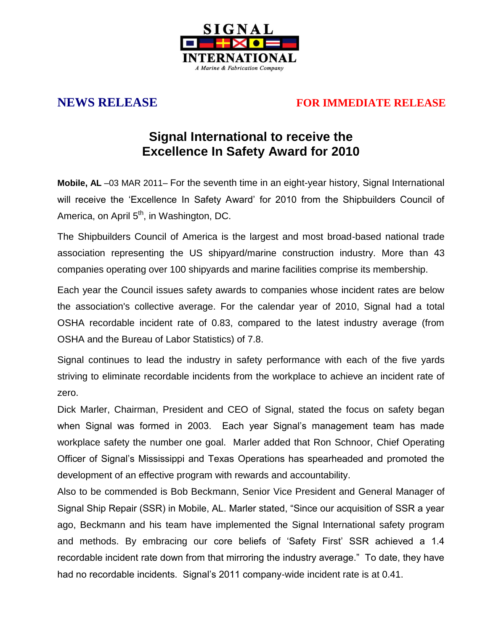

## **NEWS RELEASE FOR IMMEDIATE RELEASE**

## **Signal International to receive the Excellence In Safety Award for 2010**

**Mobile, AL** –03 MAR 2011– For the seventh time in an eight-year history, Signal International will receive the 'Excellence In Safety Award' for 2010 from the Shipbuilders Council of America, on April  $5<sup>th</sup>$ , in Washington, DC.

The Shipbuilders Council of America is the largest and most broad-based national trade association representing the US shipyard/marine construction industry. More than 43 companies operating over 100 shipyards and marine facilities comprise its membership.

Each year the Council issues safety awards to companies whose incident rates are below the association's collective average. For the calendar year of 2010, Signal had a total OSHA recordable incident rate of 0.83, compared to the latest industry average (from OSHA and the Bureau of Labor Statistics) of 7.8.

Signal continues to lead the industry in safety performance with each of the five yards striving to eliminate recordable incidents from the workplace to achieve an incident rate of zero.

Dick Marler, Chairman, President and CEO of Signal, stated the focus on safety began when Signal was formed in 2003. Each year Signal's management team has made workplace safety the number one goal. Marler added that Ron Schnoor, Chief Operating Officer of Signal"s Mississippi and Texas Operations has spearheaded and promoted the development of an effective program with rewards and accountability.

Also to be commended is Bob Beckmann, Senior Vice President and General Manager of Signal Ship Repair (SSR) in Mobile, AL. Marler stated, "Since our acquisition of SSR a year ago, Beckmann and his team have implemented the Signal International safety program and methods. By embracing our core beliefs of "Safety First" SSR achieved a 1.4 recordable incident rate down from that mirroring the industry average." To date, they have had no recordable incidents. Signal's 2011 company-wide incident rate is at 0.41.